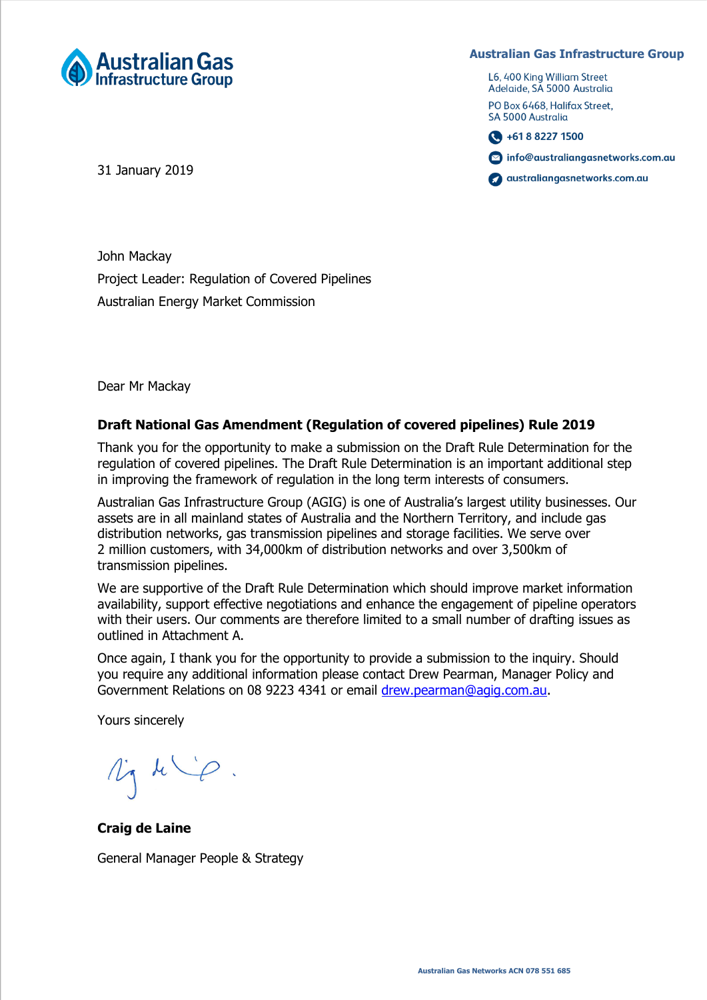

**Australian Gas Infrastructure Group**

L6, 400 King William Street Adelaide, SA 5000 Australia

PO Box 6468, Halifax Street, SA 5000 Australia

 $\bigodot$  +61 8 8227 1500

nfo@australiangasnetworks.com.au

australiangasnetworks.com.au

31 January 2019

John Mackay Project Leader: Regulation of Covered Pipelines Australian Energy Market Commission

Dear Mr Mackay

## **Draft National Gas Amendment (Regulation of covered pipelines) Rule 2019**

Thank you for the opportunity to make a submission on the Draft Rule Determination for the regulation of covered pipelines. The Draft Rule Determination is an important additional step in improving the framework of regulation in the long term interests of consumers.

Australian Gas Infrastructure Group (AGIG) is one of Australia's largest utility businesses. Our assets are in all mainland states of Australia and the Northern Territory, and include gas distribution networks, gas transmission pipelines and storage facilities. We serve over 2 million customers, with 34,000km of distribution networks and over 3,500km of transmission pipelines.

We are supportive of the Draft Rule Determination which should improve market information availability, support effective negotiations and enhance the engagement of pipeline operators with their users. Our comments are therefore limited to a small number of drafting issues as outlined in Attachment A.

Once again, I thank you for the opportunity to provide a submission to the inquiry. Should you require any additional information please contact Drew Pearman, Manager Policy and Government Relations on 08 9223 4341 or email [drew.pearman@agig.com.au.](mailto:drew.pearman@agig.com.au)

Yours sincerely

My die.

**Craig de Laine**

General Manager People & Strategy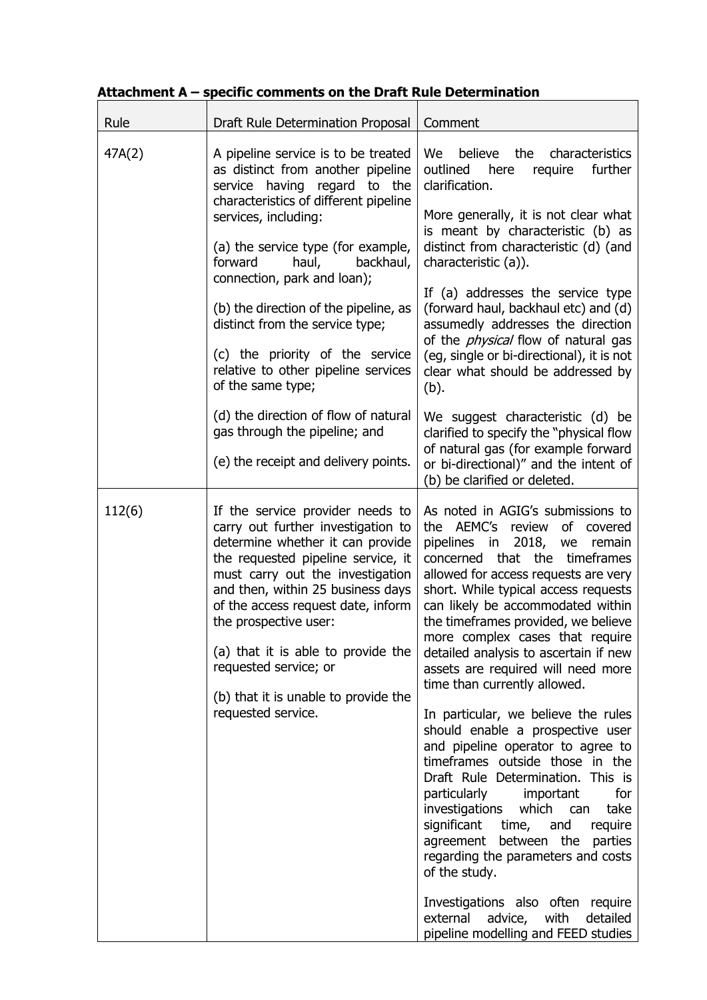## **Attachment A – specific comments on the Draft Rule Determination**

| Rule   | Draft Rule Determination Proposal                                                                                                                                                                                                                                                                                                                                                                                                                                                                                                                                           | Comment                                                                                                                                                                                                                                                                                                                                                                                                                                                                                                                                                                                                                                                                                                                                                                                                                                                                                                                                                                            |
|--------|-----------------------------------------------------------------------------------------------------------------------------------------------------------------------------------------------------------------------------------------------------------------------------------------------------------------------------------------------------------------------------------------------------------------------------------------------------------------------------------------------------------------------------------------------------------------------------|------------------------------------------------------------------------------------------------------------------------------------------------------------------------------------------------------------------------------------------------------------------------------------------------------------------------------------------------------------------------------------------------------------------------------------------------------------------------------------------------------------------------------------------------------------------------------------------------------------------------------------------------------------------------------------------------------------------------------------------------------------------------------------------------------------------------------------------------------------------------------------------------------------------------------------------------------------------------------------|
| 47A(2) | A pipeline service is to be treated<br>as distinct from another pipeline<br>service having regard to the<br>characteristics of different pipeline<br>services, including:<br>(a) the service type (for example,<br>forward<br>haul,<br>backhaul,<br>connection, park and loan);<br>(b) the direction of the pipeline, as<br>distinct from the service type;<br>(c) the priority of the service<br>relative to other pipeline services<br>of the same type;<br>(d) the direction of flow of natural<br>gas through the pipeline; and<br>(e) the receipt and delivery points. | believe the<br>We<br>characteristics<br>further<br>outlined here<br>require<br>clarification.<br>More generally, it is not clear what<br>is meant by characteristic (b) as<br>distinct from characteristic (d) (and<br>characteristic (a)).<br>If (a) addresses the service type<br>(forward haul, backhaul etc) and (d)<br>assumedly addresses the direction<br>of the <i>physical</i> flow of natural gas<br>(eg, single or bi-directional), it is not<br>clear what should be addressed by<br>(b).<br>We suggest characteristic (d) be<br>clarified to specify the "physical flow<br>of natural gas (for example forward<br>or bi-directional)" and the intent of<br>(b) be clarified or deleted.                                                                                                                                                                                                                                                                               |
| 112(6) | If the service provider needs to<br>carry out further investigation to<br>determine whether it can provide<br>the requested pipeline service, it<br>must carry out the investigation<br>and then, within 25 business days<br>of the access request date, inform<br>the prospective user:<br>(a) that it is able to provide the<br>requested service; or<br>(b) that it is unable to provide the<br>requested service.                                                                                                                                                       | As noted in AGIG's submissions to<br>the AEMC's review<br>of covered<br>pipelines in 2018, we remain<br>concerned that the timeframes<br>allowed for access requests are very<br>short. While typical access requests<br>can likely be accommodated within<br>the timeframes provided, we believe<br>more complex cases that require<br>detailed analysis to ascertain if new<br>assets are required will need more<br>time than currently allowed.<br>In particular, we believe the rules<br>should enable a prospective user<br>and pipeline operator to agree to<br>timeframes outside those in the<br>Draft Rule Determination. This is<br>particularly<br>important<br>for<br>investigations which can<br>take<br>significant<br>require<br>time,<br>and<br>between the<br>parties<br>agreement<br>regarding the parameters and costs<br>of the study.<br>Investigations also often require<br>external<br>with<br>detailed<br>advice,<br>pipeline modelling and FEED studies |